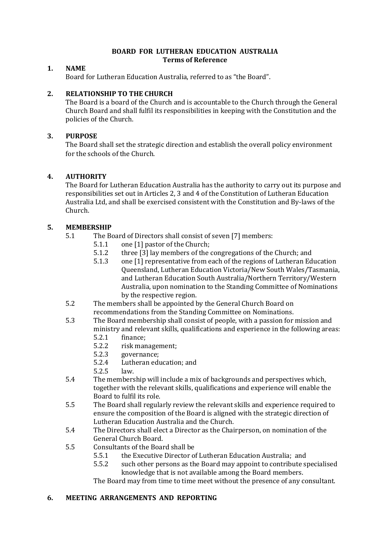#### **BOARD FOR LUTHERAN EDUCATION AUSTRALIA Terms of Reference**

## **1. NAME**

Board for Lutheran Education Australia, referred to as "the Board".

## **2. RELATIONSHIP TO THE CHURCH**

The Board is a board of the Church and is accountable to the Church through the General Church Board and shall fulfil its responsibilities in keeping with the Constitution and the policies of the Church.

## **3. PURPOSE**

The Board shall set the strategic direction and establish the overall policy environment for the schools of the Church.

## **4. AUTHORITY**

The Board for Lutheran Education Australia has the authority to carry out its purpose and responsibilities set out in Articles 2, 3 and 4 of the Constitution of Lutheran Education Australia Ltd, and shall be exercised consistent with the Constitution and By-laws of the Church.

## **5. MEMBERSHIP**

- 5.1 The Board of Directors shall consist of seven [7] members:
	- 5.1.1 one [1] pastor of the Church;
	- 5.1.2 three [3] lay members of the congregations of the Church; and
	- 5.1.3 one [1] representative from each of the regions of Lutheran Education Queensland, Lutheran Education Victoria/New South Wales/Tasmania, and Lutheran Education South Australia/Northern Territory/Western Australia, upon nomination to the Standing Committee of Nominations by the respective region.
- 5.2 The members shall be appointed by the General Church Board on recommendations from the Standing Committee on Nominations.
- 5.3 The Board membership shall consist of people, with a passion for mission and ministry and relevant skills, qualifications and experience in the following areas:
	- 5.2.1 finance;
	- 5.2.2 risk management;
	- 5.2.3 governance;
	- 5.2.4 Lutheran education; and
	- 5.2.5 law.
- 5.4 The membership will include a mix of backgrounds and perspectives which, together with the relevant skills, qualifications and experience will enable the Board to fulfil its role.
- 5.5 The Board shall regularly review the relevant skills and experience required to ensure the composition of the Board is aligned with the strategic direction of Lutheran Education Australia and the Church.
- 5.4 The Directors shall elect a Director as the Chairperson, on nomination of the General Church Board.
- 5.5 Consultants of the Board shall be
	- 5.5.1 the Executive Director of Lutheran Education Australia; and
	- 5.5.2 such other persons as the Board may appoint to contribute specialised knowledge that is not available among the Board members.

The Board may from time to time meet without the presence of any consultant.

#### **6. MEETING ARRANGEMENTS AND REPORTING**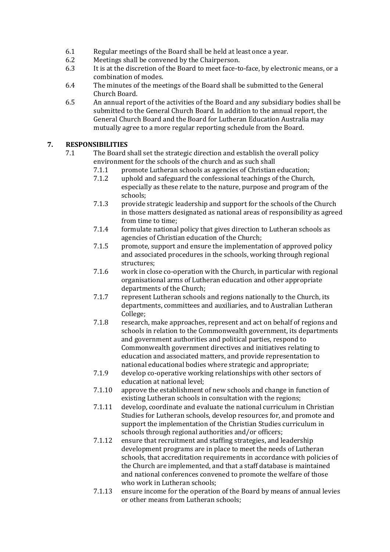- 6.1 Regular meetings of the Board shall be held at least once a year.
- 6.2 Meetings shall be convened by the Chairperson.
- 6.3 It is at the discretion of the Board to meet face-to-face, by electronic means, or a combination of modes.
- 6.4 The minutes of the meetings of the Board shall be submitted to the General Church Board.
- 6.5 An annual report of the activities of the Board and any subsidiary bodies shall be submitted to the General Church Board. In addition to the annual report, the General Church Board and the Board for Lutheran Education Australia may mutually agree to a more regular reporting schedule from the Board.

# **7. RESPONSIBILITIES**

- 7.1 The Board shall set the strategic direction and establish the overall policy environment for the schools of the church and as such shall
	- 7.1.1 promote Lutheran schools as agencies of Christian education;
	- 7.1.2 uphold and safeguard the confessional teachings of the Church, especially as these relate to the nature, purpose and program of the schools;
	- 7.1.3 provide strategic leadership and support for the schools of the Church in those matters designated as national areas of responsibility as agreed from time to time;
	- 7.1.4 formulate national policy that gives direction to Lutheran schools as agencies of Christian education of the Church;
	- 7.1.5 promote, support and ensure the implementation of approved policy and associated procedures in the schools, working through regional structures;
	- 7.1.6 work in close co-operation with the Church, in particular with regional organisational arms of Lutheran education and other appropriate departments of the Church;
	- 7.1.7 represent Lutheran schools and regions nationally to the Church, its departments, committees and auxiliaries, and to Australian Lutheran College;
	- 7.1.8 research, make approaches, represent and act on behalf of regions and schools in relation to the Commonwealth government, its departments and government authorities and political parties, respond to Commonwealth government directives and initiatives relating to education and associated matters, and provide representation to national educational bodies where strategic and appropriate;
	- 7.1.9 develop co-operative working relationships with other sectors of education at national level;
	- 7.1.10 approve the establishment of new schools and change in function of existing Lutheran schools in consultation with the regions;
	- 7.1.11 develop, coordinate and evaluate the national curriculum in Christian Studies for Lutheran schools, develop resources for, and promote and support the implementation of the Christian Studies curriculum in schools through regional authorities and/or officers;
	- 7.1.12 ensure that recruitment and staffing strategies, and leadership development programs are in place to meet the needs of Lutheran schools, that accreditation requirements in accordance with policies of the Church are implemented, and that a staff database is maintained and national conferences convened to promote the welfare of those who work in Lutheran schools;
	- 7.1.13 ensure income for the operation of the Board by means of annual levies or other means from Lutheran schools;